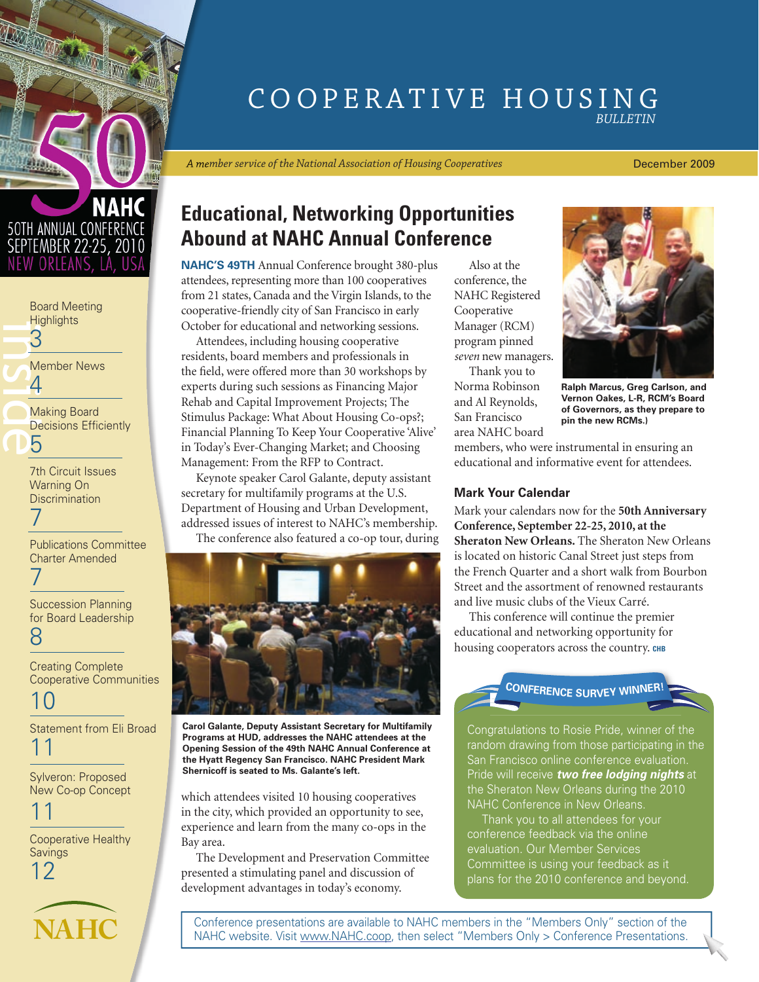

[Board Meeting](#page-2-0) 

 $\begin{array}{c}\n\begin{array}{c}\n\frac{1}{2} \\
\frac{1}{2} \\
\frac{1}{2} \\
\frac{1}{2} \\
\frac{1}{2} \\
\frac{1}{2} \\
\frac{1}{2} \\
\frac{1}{2} \\
\frac{1}{2} \\
\frac{1}{2} \\
\frac{1}{2} \\
\frac{1}{2} \\
\frac{1}{2} \\
\frac{1}{2} \\
\frac{1}{2} \\
\frac{1}{2} \\
\frac{1}{2} \\
\frac{1}{2} \\
\frac{1}{2} \\
\frac{1}{2} \\
\frac{1}{2} \\
\frac{1}{2} \\
\frac{1}{2} \\
\frac{1}{2} \\
\frac{1}{2} \\
\frac{1$ **Highlights** 3 [Member News](#page-3-0) 4 Making Board Decisions Efficiently 5 [7th Circuit Issues](#page-6-0)  Warning On **Discrimination** 7 [Publications Committee](#page-6-0)  Charter Amended 7 [Succession Planning](#page-7-0) 

for Board Leadership 8

Creating Complete [Cooperative Communities](#page-9-0) 10

[Statement from Eli Broad](#page-10-0) 11

Sylveron: Proposed [New Co-op Concept](#page-10-0) 11

[Cooperative Healthy](#page-11-0)  **Savings** 12

**NAHC**

# Cooperative Housing *Bulletin*

*A member service of the national Association of Housing Cooperatives*

December 2009

# **educational, Networking Opportunities Abound at NAhc Annual conference**

**NAHC'S 49TH** Annual Conference brought 380-plus attendees, representing more than 100 cooperatives from 21 states, Canada and the Virgin Islands, to the cooperative-friendly city of San Francisco in early October for educational and networking sessions.

Attendees, including housing cooperative residents, board members and professionals in the field, were offered more than 30 workshops by experts during such sessions as Financing Major Rehab and Capital Improvement Projects; The Stimulus Package: What About Housing Co-ops?; Financial Planning To Keep Your Cooperative 'Alive' in Today's Ever-Changing Market; and Choosing Management: From the RFP to Contract.

Keynote speaker Carol Galante, deputy assistant secretary for multifamily programs at the U.S. Department of Housing and Urban Development, addressed issues of interest to NAHC's membership. The conference also featured a co-op tour, during



**Carol Galante, Deputy Assistant Secretary for Multifamily Programs at HUD, addresses the NAHC attendees at the Opening Session of the 49th NAHC Annual Conference at the Hyatt Regency San Francisco. NAHC President Mark Shernicoff is seated to Ms. Galante's left.**

which attendees visited 10 housing cooperatives in the city, which provided an opportunity to see, experience and learn from the many co-ops in the Bay area.

The Development and Preservation Committee presented a stimulating panel and discussion of development advantages in today's economy.

Also at the conference, the NAHC Registered Cooperative Manager (RCM) program pinned *seven* new managers.

Thank you to Norma Robinson and Al Reynolds, San Francisco area NAHC board



**Ralph Marcus, Greg Carlson, and Vernon Oakes, L-R, RCM's Board of Governors, as they prepare to pin the new RCMs.)** 

members, who were instrumental in ensuring an educational and informative event for attendees.

### **Mark Your Calendar**

Mark your calendars now for the **50th Anniversary Conference, September 22-25, 2010, at the Sheraton New Orleans.** The Sheraton New Orleans is located on historic Canal Street just steps from the French Quarter and a short walk from Bourbon Street and the assortment of renowned restaurants and live music clubs of the Vieux Carré.

This conference will continue the premier educational and networking opportunity for housing cooperators across the country. **chb**



Congratulations to Rosie Pride, winner of the random drawing from those participating in the San Francisco online conference evaluation. Pride will receive *two free lodging nights* at the Sheraton New Orleans during the 2010 NAHC Conference in New Orleans.

Thank you to all attendees for your conference feedback via the online evaluation. Our Member Services Committee is using your feedback as it plans for the 2010 conference and beyond.

Conference presentations are available to NAHC members in the "Members Only" section of the NAHC website. Visit www.NAHC.coop, then select "Members Only > Conference Presentations.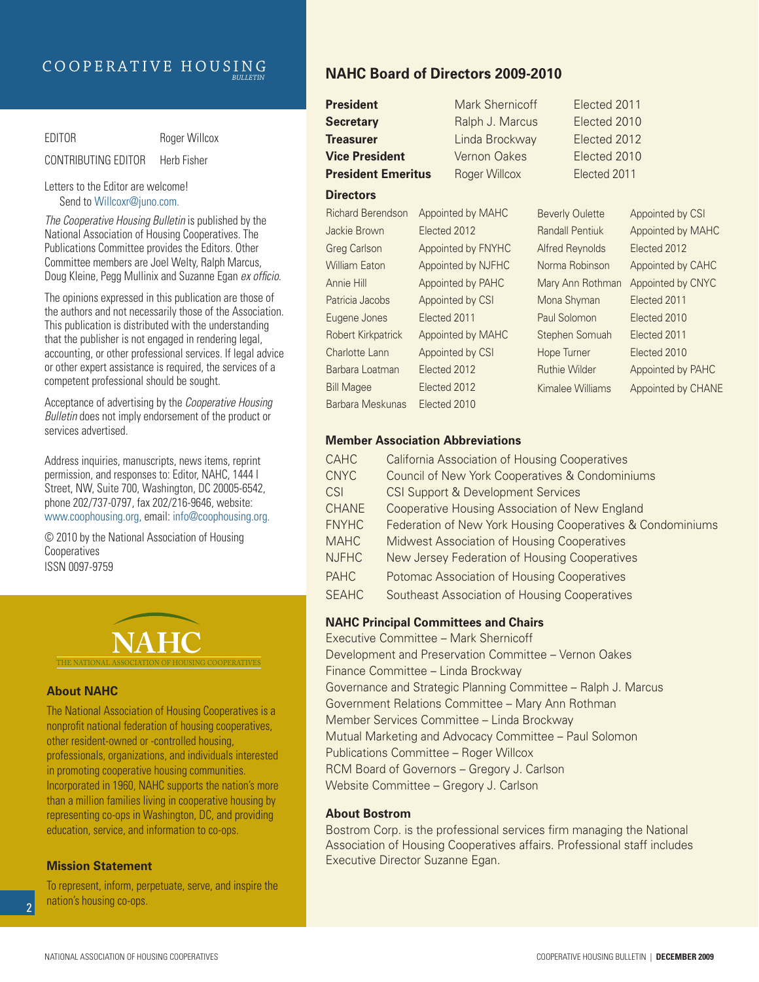## Cooperative Housing *Bulletin*

Roger Willcox

CONTRIBUTING EDITOR Herb Fisher

#### Letters to the Editor are welcome! Send to Willcoxr@juno.com.

*The Cooperative Housing Bulletin* is published by the National Association of Housing Cooperatives. The Publications Committee provides the Editors. Other Committee members are Joel Welty, Ralph Marcus, Doug Kleine, Pegg Mullinix and Suzanne Egan *ex officio.*

The opinions expressed in this publication are those of the authors and not necessarily those of the Association. This publication is distributed with the understanding that the publisher is not engaged in rendering legal, accounting, or other professional services. If legal advice or other expert assistance is required, the services of a competent professional should be sought.

Acceptance of advertising by the *Cooperative Housing Bulletin* does not imply endorsement of the product or services advertised.

Address inquiries, manuscripts, news items, reprint permission, and responses to: Editor, NAHC, 1444 I Street, NW, Suite 700, Washington, DC 20005-6542, phone 202/737-0797, fax 202/216-9646, website: www.coophousing.org, email: info@coophousing.org.

© 2010 by the National Association of Housing Cooperatives ISSN 0097-9759



#### **About NAHC**

The National Association of Housing Cooperatives is a nonprofit national federation of housing cooperatives, other resident-owned or -controlled housing, professionals, organizations, and individuals interested in promoting cooperative housing communities. Incorporated in 1960, NAHC supports the nation's more than a million families living in cooperative housing by representing co-ops in Washington, DC, and providing education, service, and information to co-ops.

#### **Mission Statement**

To represent, inform, perpetuate, serve, and inspire the nation's housing co-ops.

## **NAHC Board of Directors 2009-2010**

| <b>President</b>          | Mark Shernicoff    |                 | Elected 2011           |                        |                    |
|---------------------------|--------------------|-----------------|------------------------|------------------------|--------------------|
| <b>Secretary</b>          |                    | Ralph J. Marcus |                        | Elected 2010           |                    |
| <b>Treasurer</b>          |                    | Linda Brockway  |                        | Elected 2012           |                    |
| <b>Vice President</b>     |                    | Vernon Oakes    |                        | Elected 2010           |                    |
| <b>President Emeritus</b> |                    | Roger Willcox   |                        | Elected 2011           |                    |
| <b>Directors</b>          |                    |                 |                        |                        |                    |
| <b>Richard Berendson</b>  | Appointed by MAHC  |                 |                        | <b>Beverly Oulette</b> | Appointed by CSI   |
| Jackie Brown              | Elected 2012       |                 | <b>Randall Pentiuk</b> |                        | Appointed by MAHC  |
| <b>Greg Carlson</b>       | Appointed by FNYHC |                 | Alfred Reynolds        |                        | Elected 2012       |
| <b>William Eaton</b>      | Appointed by NJFHC |                 | Norma Robinson         |                        | Appointed by CAHC  |
| Annie Hill                | Appointed by PAHC  |                 | Mary Ann Rothman       |                        | Appointed by CNYC  |
| Patricia Jacobs           | Appointed by CSI   |                 | Mona Shyman            |                        | Elected 2011       |
| Eugene Jones              | Elected 2011       |                 | Paul Solomon           |                        | Elected 2010       |
| Robert Kirkpatrick        | Appointed by MAHC  |                 | Stephen Somuah         |                        | Elected 2011       |
| Charlotte Lann            | Appointed by CSI   |                 | Hope Turner            |                        | Elected 2010       |
| Barbara Loatman           | Elected 2012       |                 | <b>Ruthie Wilder</b>   |                        | Appointed by PAHC  |
| <b>Bill Magee</b>         | Elected 2012       |                 | Kimalee Williams       |                        | Appointed by CHANE |
| Barbara Meskunas          | Elected 2010       |                 |                        |                        |                    |

#### **Member Association Abbreviations**

| <b>CAHC</b>  | <b>California Association of Housing Cooperatives</b>      |
|--------------|------------------------------------------------------------|
| <b>CNYC</b>  | Council of New York Cooperatives & Condominiums            |
| CSI          | <b>CSI Support &amp; Development Services</b>              |
| <b>CHANE</b> | Cooperative Housing Association of New England             |
| <b>FNYHC</b> | Federation of New York Housing Cooperatives & Condominiums |
| <b>MAHC</b>  | Midwest Association of Housing Cooperatives                |
| <b>NJFHC</b> | New Jersey Federation of Housing Cooperatives              |
| <b>PAHC</b>  | Potomac Association of Housing Cooperatives                |
| <b>SFAHC</b> | Southeast Association of Housing Cooperatives              |

#### **NAHC Principal Committees and Chairs**

Executive Committee – Mark Shernicoff Development and Preservation Committee – Vernon Oakes Finance Committee – Linda Brockway Governance and Strategic Planning Committee – Ralph J. Marcus Government Relations Committee – Mary Ann Rothman Member Services Committee – Linda Brockway Mutual Marketing and Advocacy Committee – Paul Solomon Publications Committee – Roger Willcox RCM Board of Governors – Gregory J. Carlson Website Committee – Gregory J. Carlson

#### **About Bostrom**

Bostrom Corp. is the professional services firm managing the National Association of Housing Cooperatives affairs. Professional staff includes Executive Director Suzanne Egan.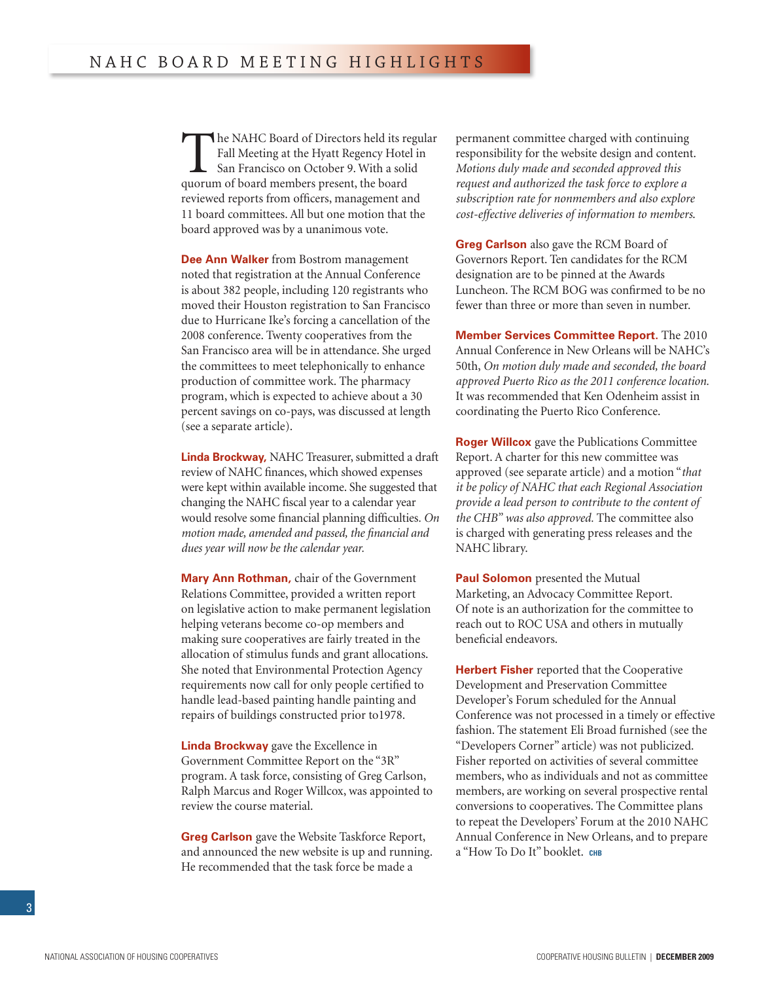<span id="page-2-0"></span>The NAHC Board of Directors held its regular<br>Fall Meeting at the Hyatt Regency Hotel in<br>San Francisco on October 9. With a solid<br>quorum of board members present, the board Fall Meeting at the Hyatt Regency Hotel in San Francisco on October 9. With a solid quorum of board members present, the board reviewed reports from officers, management and 11 board committees. All but one motion that the board approved was by a unanimous vote.

**Dee Ann Walker** from Bostrom management noted that registration at the Annual Conference is about 382 people, including 120 registrants who moved their Houston registration to San Francisco due to Hurricane Ike's forcing a cancellation of the 2008 conference. Twenty cooperatives from the San Francisco area will be in attendance. She urged the committees to meet telephonically to enhance production of committee work. The pharmacy program, which is expected to achieve about a 30 percent savings on co-pays, was discussed at length (see a separate article).

**Linda Brockway,** NAHC Treasurer, submitted a draft review of NAHC finances, which showed expenses were kept within available income. She suggested that changing the NAHC fiscal year to a calendar year would resolve some financial planning difficulties. On *motion made, amended and passed, the fi nancial and dues year will now be the calendar year.*

**Mary Ann Rothman,** chair of the Government Relations Committee, provided a written report on legislative action to make permanent legislation helping veterans become co-op members and making sure cooperatives are fairly treated in the allocation of stimulus funds and grant allocations. She noted that Environmental Protection Agency requirements now call for only people certified to handle lead-based painting handle painting and repairs of buildings constructed prior to1978.

**Linda Brockway** gave the Excellence in Government Committee Report on the "3R" program. A task force, consisting of Greg Carlson, Ralph Marcus and Roger Willcox, was appointed to review the course material.

**Greg Carlson** gave the Website Taskforce Report, and announced the new website is up and running. He recommended that the task force be made a

permanent committee charged with continuing responsibility for the website design and content. *Motions duly made and seconded approved this request and authorized the task force to explore a subscription rate for nonmembers and also explore cost-effective deliveries of information to members*.

**Greg Carlson** also gave the RCM Board of Governors Report. Ten candidates for the RCM designation are to be pinned at the Awards Luncheon. The RCM BOG was confirmed to be no fewer than three or more than seven in number.

**Member Services Committee Report.** The 2010 Annual Conference in New Orleans will be NAHC's 50th, *On motion duly made and seconded, the board approved Puerto Rico as the 2011 conference location.* It was recommended that Ken Odenheim assist in coordinating the Puerto Rico Conference.

**Roger Willcox** gave the Publications Committee Report. A charter for this new committee was approved (see separate article) and a motion "*that it be policy of NAHC that each Regional Association provide a lead person to contribute to the content of the CHB" was also approved.* The committee also is charged with generating press releases and the NAHC library.

**Paul Solomon** presented the Mutual Marketing, an Advocacy Committee Report. Of note is an authorization for the committee to reach out to ROC USA and others in mutually beneficial endeavors.

**Herbert Fisher** reported that the Cooperative Development and Preservation Committee Developer's Forum scheduled for the Annual Conference was not processed in a timely or effective fashion. The statement Eli Broad furnished (see the "Developers Corner" article) was not publicized. Fisher reported on activities of several committee members, who as individuals and not as committee members, are working on several prospective rental conversions to cooperatives. The Committee plans to repeat the Developers' Forum at the 2010 NAHC Annual Conference in New Orleans, and to prepare a "How To Do It" booklet. **chb**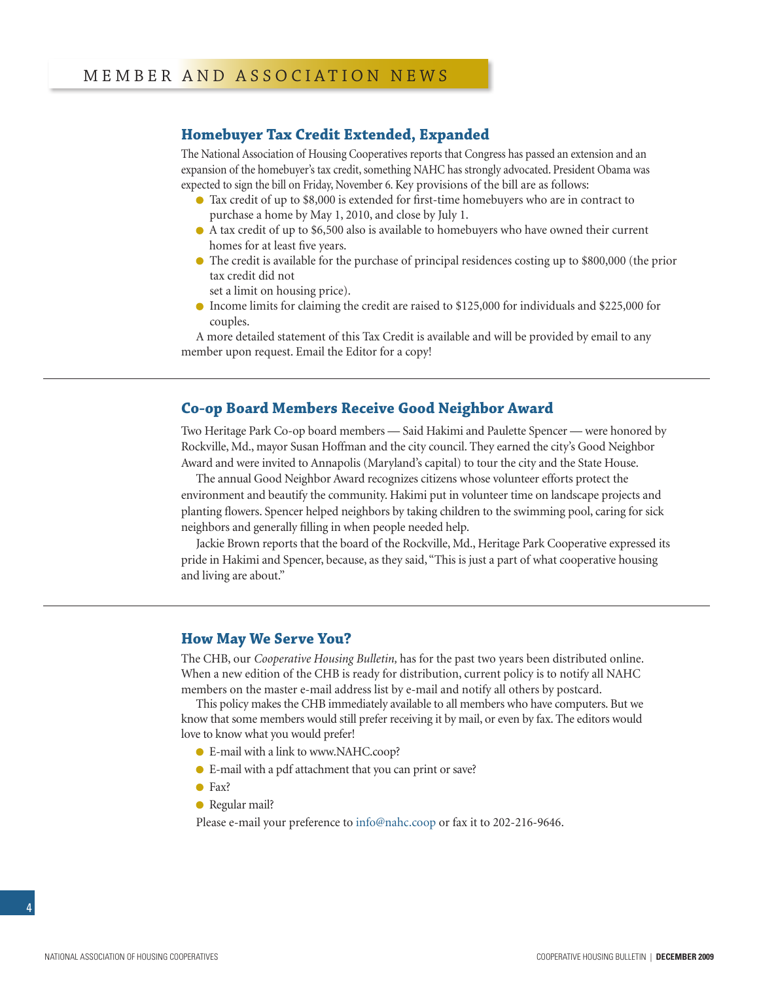#### <span id="page-3-0"></span>**Homebuyer Tax Credit Extended, Expanded**

The National Association of Housing Cooperatives reports that Congress has passed an extension and an expansion of the homebuyer's tax credit, something NAHC has strongly advocated. President Obama was expected to sign the bill on Friday, November 6. Key provisions of the bill are as follows:

- $\bullet$  Tax credit of up to \$8,000 is extended for first-time homebuyers who are in contract to purchase a home by May 1, 2010, and close by July 1.
- A tax credit of up to \$6,500 also is available to homebuyers who have owned their current homes for at least five years.
- The credit is available for the purchase of principal residences costing up to \$800,000 (the prior tax credit did not

set a limit on housing price).

 Income limits for claiming the credit are raised to \$125,000 for individuals and \$225,000 for couples.

A more detailed statement of this Tax Credit is available and will be provided by email to any member upon request. Email the Editor for a copy!

#### **Co-op Board Members Receive Good Neighbor Award**

Two Heritage Park Co-op board members — Said Hakimi and Paulette Spencer — were honored by Rockville, Md., mayor Susan Hoffman and the city council. They earned the city's Good Neighbor Award and were invited to Annapolis (Maryland's capital) to tour the city and the State House.

The annual Good Neighbor Award recognizes citizens whose volunteer efforts protect the environment and beautify the community. Hakimi put in volunteer time on landscape projects and planting flowers. Spencer helped neighbors by taking children to the swimming pool, caring for sick neighbors and generally filling in when people needed help.

Jackie Brown reports that the board of the Rockville, Md., Heritage Park Cooperative expressed its pride in Hakimi and Spencer, because, as they said, "This is just a part of what cooperative housing and living are about."

#### **How May We Serve You?**

The CHB, our *Cooperative Housing Bulletin,* has for the past two years been distributed online. When a new edition of the CHB is ready for distribution, current policy is to notify all NAHC members on the master e-mail address list by e-mail and notify all others by postcard.

This policy makes the CHB immediately available to all members who have computers. But we know that some members would still prefer receiving it by mail, or even by fax. The editors would love to know what you would prefer!

- E-mail with a link to www.NAHC.coop?
- E-mail with a pdf attachment that you can print or save?
- Fax?
- Regular mail?

Please e-mail your preference to info@nahc.coop or fax it to 202-216-9646.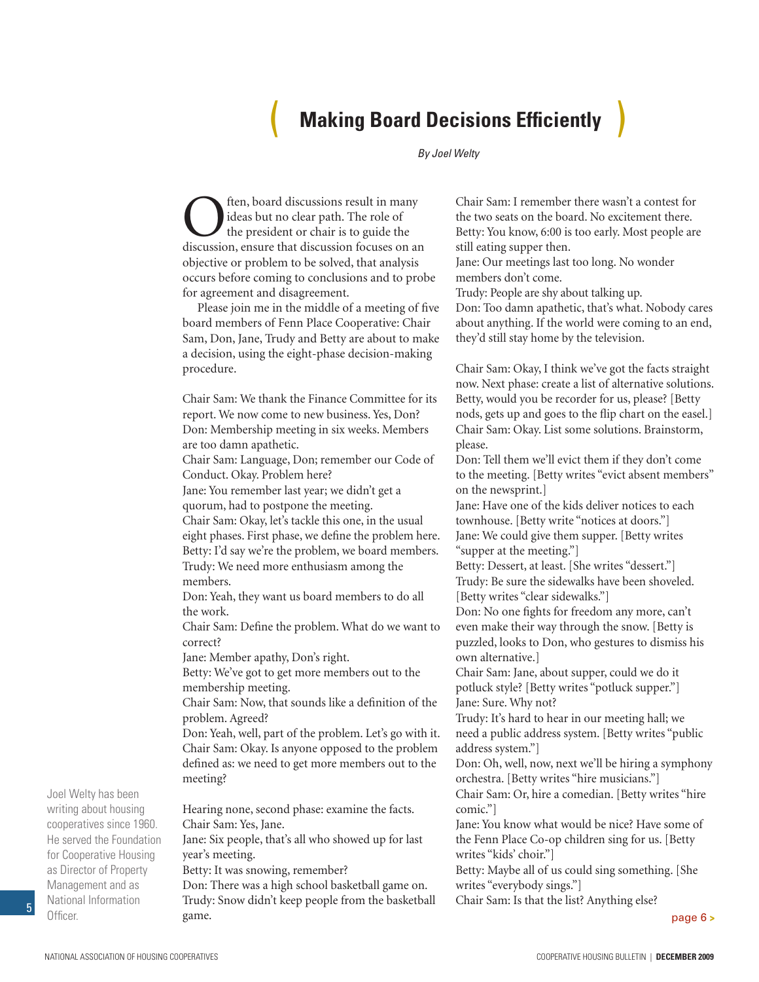# ( **Making Board Decisions Efficiently** )

#### *By Joel Welty*

<span id="page-4-0"></span>**C** ften, board discussions result in many<br>ideas but no clear path. The role of<br>the president or chair is to guide the<br>discussion, ensure that discussion focuses on an ideas but no clear path. The role of the president or chair is to guide the discussion, ensure that discussion focuses on an objective or problem to be solved, that analysis occurs before coming to conclusions and to probe for agreement and disagreement.

Please join me in the middle of a meeting of five board members of Fenn Place Cooperative: Chair Sam, Don, Jane, Trudy and Betty are about to make a decision, using the eight-phase decision-making procedure.

Chair Sam: We thank the Finance Committee for its report. We now come to new business. Yes, Don? Don: Membership meeting in six weeks. Members are too damn apathetic.

Chair Sam: Language, Don; remember our Code of Conduct. Okay. Problem here?

Jane: You remember last year; we didn't get a quorum, had to postpone the meeting.

Chair Sam: Okay, let's tackle this one, in the usual eight phases. First phase, we define the problem here. Betty: I'd say we're the problem, we board members. Trudy: We need more enthusiasm among the members.

Don: Yeah, they want us board members to do all the work.

Chair Sam: Define the problem. What do we want to correct?

Jane: Member apathy, Don's right.

Betty: We've got to get more members out to the membership meeting.

Chair Sam: Now, that sounds like a definition of the problem. Agreed?

Don: Yeah, well, part of the problem. Let's go with it. Chair Sam: Okay. Is anyone opposed to the problem defined as: we need to get more members out to the meeting?

Hearing none, second phase: examine the facts. Chair Sam: Yes, Jane.

Jane: Six people, that's all who showed up for last year's meeting.

Betty: It was snowing, remember?

Don: There was a high school basketball game on. Trudy: Snow didn't keep people from the basketball game. Officer. **Example 5 and Separate 1** and Separate 1 and Separate 1 and Separate 1 and Separate 1 and Separate 1 and Separate 1 and Separate 1 and Separate 1 and Separate 1 and Separate 1 and Separate 1 and Separate 1 and Se

Chair Sam: I remember there wasn't a contest for the two seats on the board. No excitement there. Betty: You know, 6:00 is too early. Most people are still eating supper then.

Jane: Our meetings last too long. No wonder members don't come.

Trudy: People are shy about talking up.

Don: Too damn apathetic, that's what. Nobody cares about anything. If the world were coming to an end, they'd still stay home by the television.

Chair Sam: Okay, I think we've got the facts straight now. Next phase: create a list of alternative solutions. Betty, would you be recorder for us, please? [Betty nods, gets up and goes to the flip chart on the easel.] Chair Sam: Okay. List some solutions. Brainstorm, please.

Don: Tell them we'll evict them if they don't come to the meeting. [Betty writes "evict absent members" on the newsprint.]

Jane: Have one of the kids deliver notices to each townhouse. [Betty write "notices at doors."] Jane: We could give them supper. [Betty writes "supper at the meeting."]

Betty: Dessert, at least. [She writes "dessert."] Trudy: Be sure the sidewalks have been shoveled. [Betty writes "clear sidewalks."]

Don: No one fights for freedom any more, can't even make their way through the snow. [Betty is puzzled, looks to Don, who gestures to dismiss his own alternative.]

Chair Sam: Jane, about supper, could we do it potluck style? [Betty writes "potluck supper."] Jane: Sure. Why not?

Trudy: It's hard to hear in our meeting hall; we need a public address system. [Betty writes "public address system."]

Don: Oh, well, now, next we'll be hiring a symphony orchestra. [Betty writes "hire musicians."]

Chair Sam: Or, hire a comedian. [Betty writes "hire comic."]

Jane: You know what would be nice? Have some of the Fenn Place Co-op children sing for us. [Betty writes "kids' choir."]

Betty: Maybe all of us could sing something. [She writes "everybody sings."]

Chair Sam: Is that the list? Anything else?

Joel Welty has been writing about housing cooperatives since 1960. He served the Foundation for Cooperative Housing as Director of Property Management and as National Information

5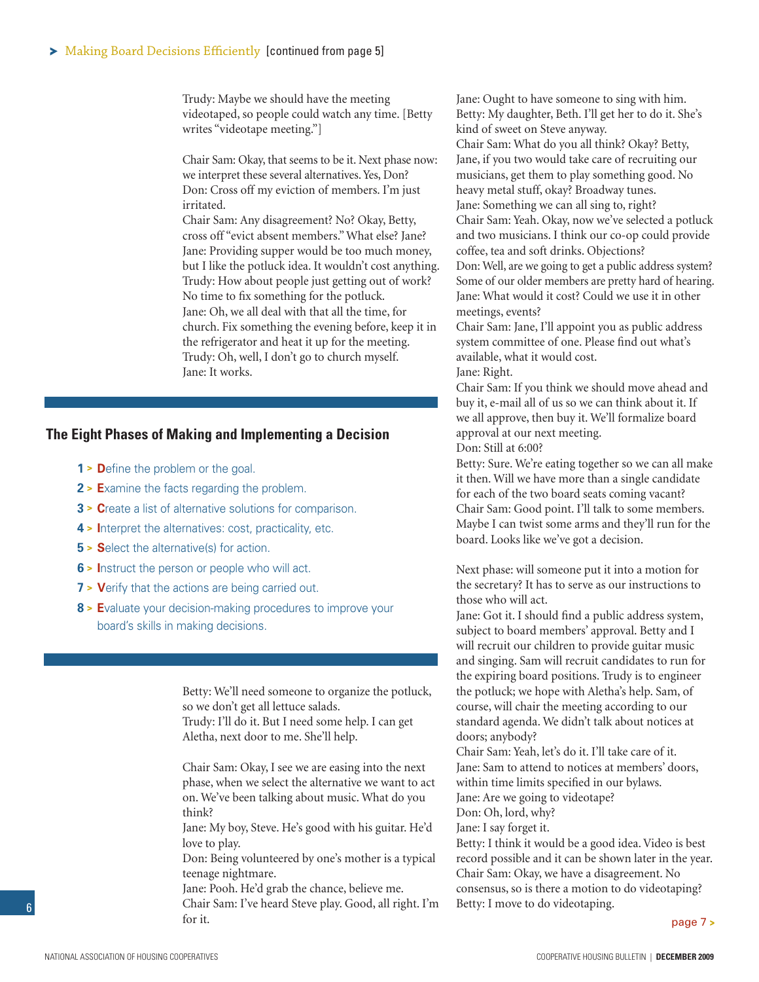<span id="page-5-0"></span>Trudy: Maybe we should have the meeting videotaped, so people could watch any time. [Betty writes "videotape meeting."]

Chair Sam: Okay, that seems to be it. Next phase now: we interpret these several alternatives. Yes, Don? Don: Cross off my eviction of members. I'm just irritated.

Chair Sam: Any disagreement? No? Okay, Betty, cross off "evict absent members." What else? Jane? Jane: Providing supper would be too much money, but I like the potluck idea. It wouldn't cost anything. Trudy: How about people just getting out of work? No time to fix something for the potluck. Jane: Oh, we all deal with that all the time, for church. Fix something the evening before, keep it in the refrigerator and heat it up for the meeting. Trudy: Oh, well, I don't go to church myself. Jane: It works.

#### **The Eight Phases of Making and Implementing a Decision**

- **1 > D**efine the problem or the goal.
- **2 > E**xamine the facts regarding the problem.
- **3 > C**reate a list of alternative solutions for comparison.
- **4 > I**nterpret the alternatives: cost, practicality, etc.
- **5 > S**elect the alternative(s) for action.
- **6 > I**nstruct the person or people who will act.
- **7 > V**erify that the actions are being carried out.
- **8 > E**valuate your decision-making procedures to improve your board's skills in making decisions.

Betty: We'll need someone to organize the potluck, so we don't get all lettuce salads.

Trudy: I'll do it. But I need some help. I can get Aletha, next door to me. She'll help.

Chair Sam: Okay, I see we are easing into the next phase, when we select the alternative we want to act on. We've been talking about music. What do you think?

Jane: My boy, Steve. He's good with his guitar. He'd love to play.

Don: Being volunteered by one's mother is a typical teenage nightmare.

Jane: Pooh. He'd grab the chance, believe me. Chair Sam: I've heard Steve play. Good, all right. I'm for it.

Jane: Ought to have someone to sing with him. Betty: My daughter, Beth. I'll get her to do it. She's kind of sweet on Steve anyway.

Chair Sam: What do you all think? Okay? Betty, Jane, if you two would take care of recruiting our musicians, get them to play something good. No heavy metal stuff, okay? Broadway tunes. Jane: Something we can all sing to, right? Chair Sam: Yeah. Okay, now we've selected a potluck and two musicians. I think our co-op could provide coffee, tea and soft drinks. Objections? Don: Well, are we going to get a public address system? Some of our older members are pretty hard of hearing. Jane: What would it cost? Could we use it in other meetings, events?

Chair Sam: Jane, I'll appoint you as public address system committee of one. Please find out what's available, what it would cost.

Jane: Right.

Chair Sam: If you think we should move ahead and buy it, e-mail all of us so we can think about it. If we all approve, then buy it. We'll formalize board approval at our next meeting.

Don: Still at 6:00?

Betty: Sure. We're eating together so we can all make it then. Will we have more than a single candidate for each of the two board seats coming vacant? Chair Sam: Good point. I'll talk to some members. Maybe I can twist some arms and they'll run for the board. Looks like we've got a decision.

Next phase: will someone put it into a motion for the secretary? It has to serve as our instructions to those who will act.

Jane: Got it. I should find a public address system, subject to board members' approval. Betty and I will recruit our children to provide guitar music and singing. Sam will recruit candidates to run for the expiring board positions. Trudy is to engineer the potluck; we hope with Aletha's help. Sam, of course, will chair the meeting according to our standard agenda. We didn't talk about notices at doors; anybody?

Chair Sam: Yeah, let's do it. I'll take care of it. Jane: Sam to attend to notices at members' doors, within time limits specified in our bylaws.

Jane: Are we going to videotape?

Don: Oh, lord, why?

Jane: I say forget it.

Betty: I think it would be a good idea. Video is best record possible and it can be shown later in the year. Chair Sam: Okay, we have a disagreement. No consensus, so is there a motion to do videotaping? Betty: I move to do videotaping.

[page 7](#page-6-0) **>**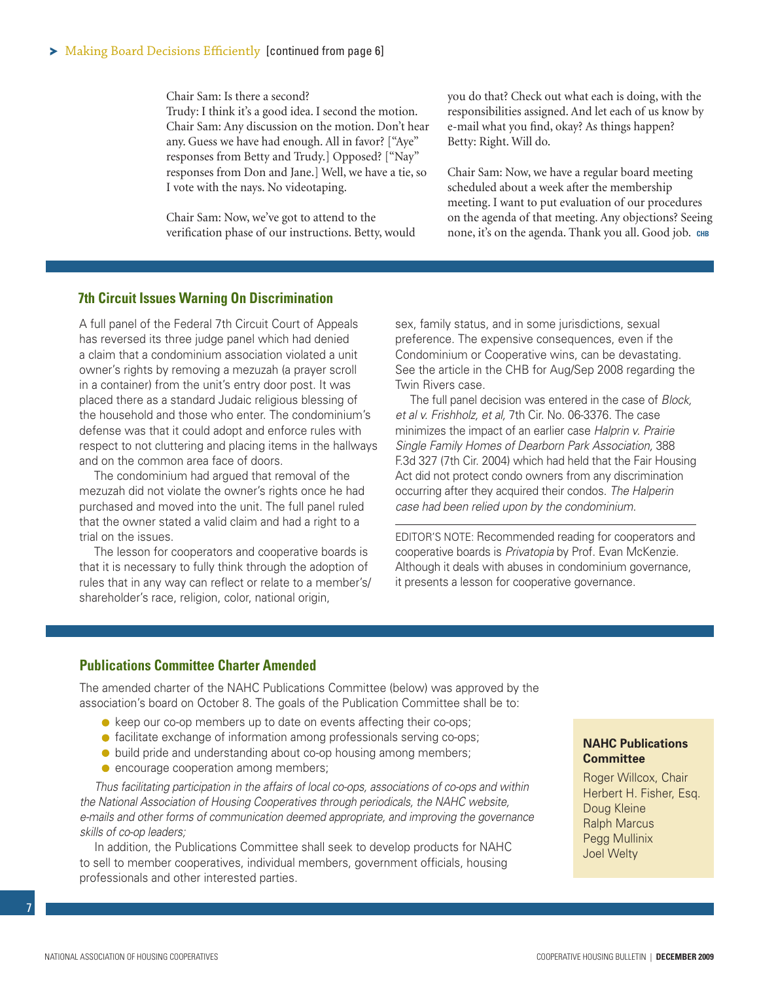<span id="page-6-0"></span>Chair Sam: Is there a second?

Trudy: I think it's a good idea. I second the motion. Chair Sam: Any discussion on the motion. Don't hear any. Guess we have had enough. All in favor? ["Aye" responses from Betty and Trudy.] Opposed? ["Nay" responses from Don and Jane.] Well, we have a tie, so I vote with the nays. No videotaping.

Chair Sam: Now, we've got to attend to the verification phase of our instructions. Betty, would you do that? Check out what each is doing, with the responsibilities assigned. And let each of us know by e-mail what you find, okay? As things happen? Betty: Right. Will do.

Chair Sam: Now, we have a regular board meeting scheduled about a week after the membership meeting. I want to put evaluation of our procedures on the agenda of that meeting. Any objections? Seeing none, it's on the agenda. Thank you all. Good job. CHB

#### **7th Circuit Issues Warning On Discrimination**

A full panel of the Federal 7th Circuit Court of Appeals has reversed its three judge panel which had denied a claim that a condominium association violated a unit owner's rights by removing a mezuzah (a prayer scroll in a container) from the unit's entry door post. It was placed there as a standard Judaic religious blessing of the household and those who enter. The condominium's defense was that it could adopt and enforce rules with respect to not cluttering and placing items in the hallways and on the common area face of doors.

The condominium had argued that removal of the mezuzah did not violate the owner's rights once he had purchased and moved into the unit. The full panel ruled that the owner stated a valid claim and had a right to a trial on the issues.

The lesson for cooperators and cooperative boards is that it is necessary to fully think through the adoption of rules that in any way can reflect or relate to a member's/ shareholder's race, religion, color, national origin,

sex, family status, and in some jurisdictions, sexual preference. The expensive consequences, even if the Condominium or Cooperative wins, can be devastating. See the article in the CHB for Aug/Sep 2008 regarding the Twin Rivers case.

The full panel decision was entered in the case of *Block, et al v. Frishholz, et al,* 7th Cir. No. 06-3376. The case minimizes the impact of an earlier case *Halprin v. Prairie Single Family Homes of Dearborn Park Association,* 388 F.3d 327 (7th Cir. 2004) which had held that the Fair Housing Act did not protect condo owners from any discrimination occurring after they acquired their condos. *The Halperin case had been relied upon by the condominium.*

EDITOR'S NOTE: Recommended reading for cooperators and cooperative boards is *Privatopia* by Prof. Evan McKenzie. Although it deals with abuses in condominium governance, it presents a lesson for cooperative governance.

#### **Publications Committee Charter Amended**

The amended charter of the NAHC Publications Committee (below) was approved by the association's board on October 8. The goals of the Publication Committee shall be to:

- keep our co-op members up to date on events affecting their co-ops;
- **•** facilitate exchange of information among professionals serving co-ops;
- build pride and understanding about co-op housing among members;
- **e** encourage cooperation among members;

*Thus facilitating participation in the affairs of local co-ops, associations of co-ops and within the National Association of Housing Cooperatives through periodicals, the NAHC website, e-mails and other forms of communication deemed appropriate, and improving the governance skills of co-op leaders;*

In addition, the Publications Committee shall seek to develop products for NAHC to sell to member cooperatives, individual members, government officials, housing professionals and other interested parties.

#### **NAHC Publications Committee**

Roger Willcox, Chair Herbert H. Fisher, Esq. Doug Kleine Ralph Marcus Pegg Mullinix Joel Welty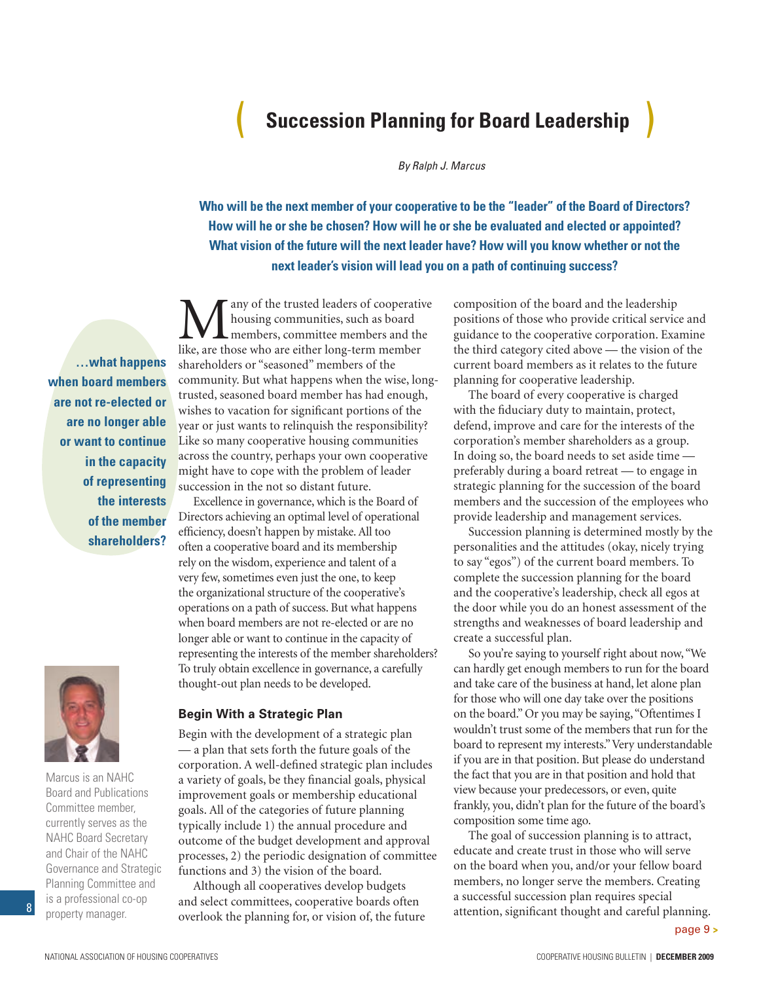# <span id="page-7-0"></span>**Succession Planning for Board Leadership**

*By Ralph J. Marcus*

**Who will be the next member of your cooperative to be the "leader" of the Board of Directors? How will he or she be chosen? How will he or she be evaluated and elected or appointed? What vision of the future will the next leader have? How will you know whether or not the next leader's vision will lead you on a path of continuing success?**

**…what happens when board members are not re-elected or are no longer able or want to continue in the capacity of representing the interests of the member shareholders?** 



Marcus is an NAHC Board and Publications Committee member, currently serves as the NAHC Board Secretary and Chair of the NAHC Governance and Strategic Planning Committee and is a professional co-op property manager.

**M** any of the trusted leaders of cooperative<br>housing communities, such as board<br>like are those who are either long-term member housing communities, such as board members, committee members and the like, are those who are either long-term member shareholders or "seasoned" members of the community. But what happens when the wise, longtrusted, seasoned board member has had enough, wishes to vacation for significant portions of the year or just wants to relinquish the responsibility? Like so many cooperative housing communities across the country, perhaps your own cooperative might have to cope with the problem of leader succession in the not so distant future.

Excellence in governance, which is the Board of Directors achieving an optimal level of operational efficiency, doesn't happen by mistake. All too often a cooperative board and its membership rely on the wisdom, experience and talent of a very few, sometimes even just the one, to keep the organizational structure of the cooperative's operations on a path of success. But what happens when board members are not re-elected or are no longer able or want to continue in the capacity of representing the interests of the member shareholders? To truly obtain excellence in governance, a carefully thought-out plan needs to be developed.

#### **Begin With a Strategic Plan**

Begin with the development of a strategic plan — a plan that sets forth the future goals of the corporation. A well-defined strategic plan includes a variety of goals, be they financial goals, physical improvement goals or membership educational goals. All of the categories of future planning typically include 1) the annual procedure and outcome of the budget development and approval processes, 2) the periodic designation of committee functions and 3) the vision of the board.

Although all cooperatives develop budgets and select committees, cooperative boards often overlook the planning for, or vision of, the future composition of the board and the leadership positions of those who provide critical service and guidance to the cooperative corporation. Examine the third category cited above — the vision of the current board members as it relates to the future planning for cooperative leadership.

The board of every cooperative is charged with the fiduciary duty to maintain, protect, defend, improve and care for the interests of the corporation's member shareholders as a group. In doing so, the board needs to set aside time preferably during a board retreat — to engage in strategic planning for the succession of the board members and the succession of the employees who provide leadership and management services.

Succession planning is determined mostly by the personalities and the attitudes (okay, nicely trying to say "egos") of the current board members. To complete the succession planning for the board and the cooperative's leadership, check all egos at the door while you do an honest assessment of the strengths and weaknesses of board leadership and create a successful plan.

So you're saying to yourself right about now, "We can hardly get enough members to run for the board and take care of the business at hand, let alone plan for those who will one day take over the positions on the board." Or you may be saying, "Oftentimes I wouldn't trust some of the members that run for the board to represent my interests." Very understandable if you are in that position. But please do understand the fact that you are in that position and hold that view because your predecessors, or even, quite frankly, you, didn't plan for the future of the board's composition some time ago.

The goal of succession planning is to attract, educate and create trust in those who will serve on the board when you, and/or your fellow board members, no longer serve the members. Creating a successful succession plan requires special attention, significant thought and careful planning.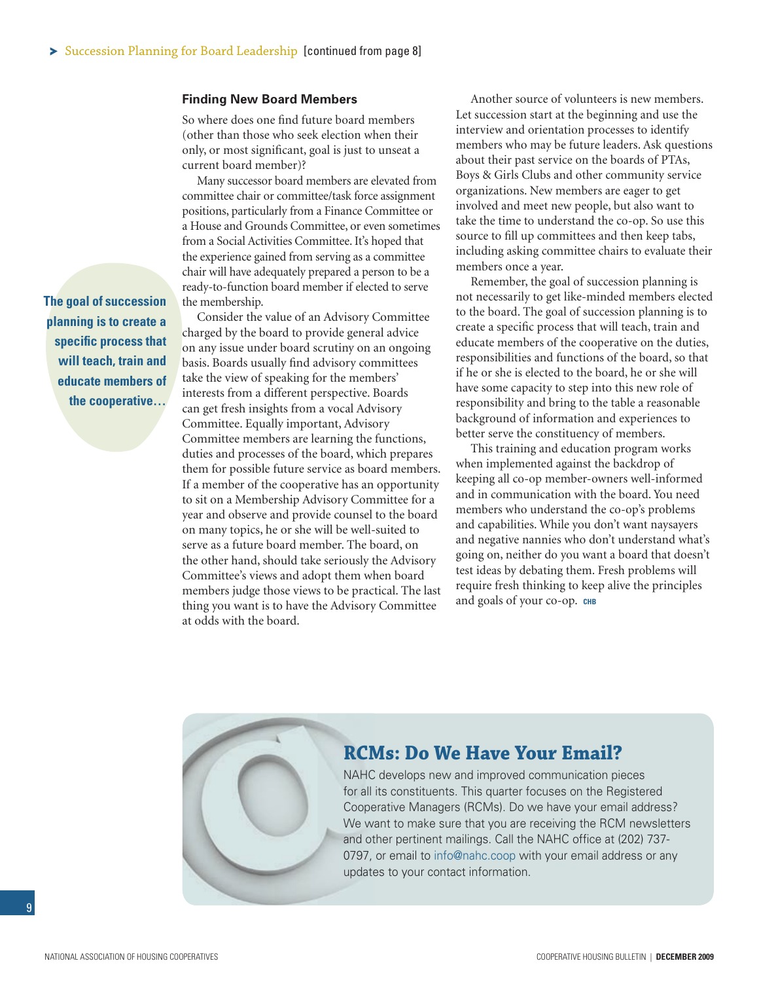#### <span id="page-8-0"></span>**Finding New Board Members**

So where does one find future board members (other than those who seek election when their only, or most significant, goal is just to unseat a current board member)?

Many successor board members are elevated from committee chair or committee/task force assignment positions, particularly from a Finance Committee or a House and Grounds Committee, or even sometimes from a Social Activities Committee. It's hoped that the experience gained from serving as a committee chair will have adequately prepared a person to be a ready-to-function board member if elected to serve the membership.

Consider the value of an Advisory Committee charged by the board to provide general advice on any issue under board scrutiny on an ongoing basis. Boards usually find advisory committees take the view of speaking for the members' interests from a different perspective. Boards can get fresh insights from a vocal Advisory Committee. Equally important, Advisory Committee members are learning the functions, duties and processes of the board, which prepares them for possible future service as board members. If a member of the cooperative has an opportunity to sit on a Membership Advisory Committee for a year and observe and provide counsel to the board on many topics, he or she will be well-suited to serve as a future board member. The board, on the other hand, should take seriously the Advisory Committee's views and adopt them when board members judge those views to be practical. The last thing you want is to have the Advisory Committee at odds with the board.

Another source of volunteers is new members. Let succession start at the beginning and use the interview and orientation processes to identify members who may be future leaders. Ask questions about their past service on the boards of PTAs, Boys & Girls Clubs and other community service organizations. New members are eager to get involved and meet new people, but also want to take the time to understand the co-op. So use this source to fill up committees and then keep tabs, including asking committee chairs to evaluate their members once a year.

Remember, the goal of succession planning is not necessarily to get like-minded members elected to the board. The goal of succession planning is to create a specific process that will teach, train and educate members of the cooperative on the duties, responsibilities and functions of the board, so that if he or she is elected to the board, he or she will have some capacity to step into this new role of responsibility and bring to the table a reasonable background of information and experiences to better serve the constituency of members.

This training and education program works when implemented against the backdrop of keeping all co-op member-owners well-informed and in communication with the board. You need members who understand the co-op's problems and capabilities. While you don't want naysayers and negative nannies who don't understand what's going on, neither do you want a board that doesn't test ideas by debating them. Fresh problems will require fresh thinking to keep alive the principles and goals of your co-op. CHB

# **RCMs: Do We Have Your Email?**

NAHC develops new and improved communication pieces for all its constituents. This quarter focuses on the Registered Cooperative Managers (RCMs). Do we have your email address? We want to make sure that you are receiving the RCM newsletters and other pertinent mailings. Call the NAHC office at (202) 737-0797, or email to info@nahc.coop with your email address or any updates to your contact information.

**The goal of succession planning is to create a**  specific process that **will teach, train and educate members of the cooperative…**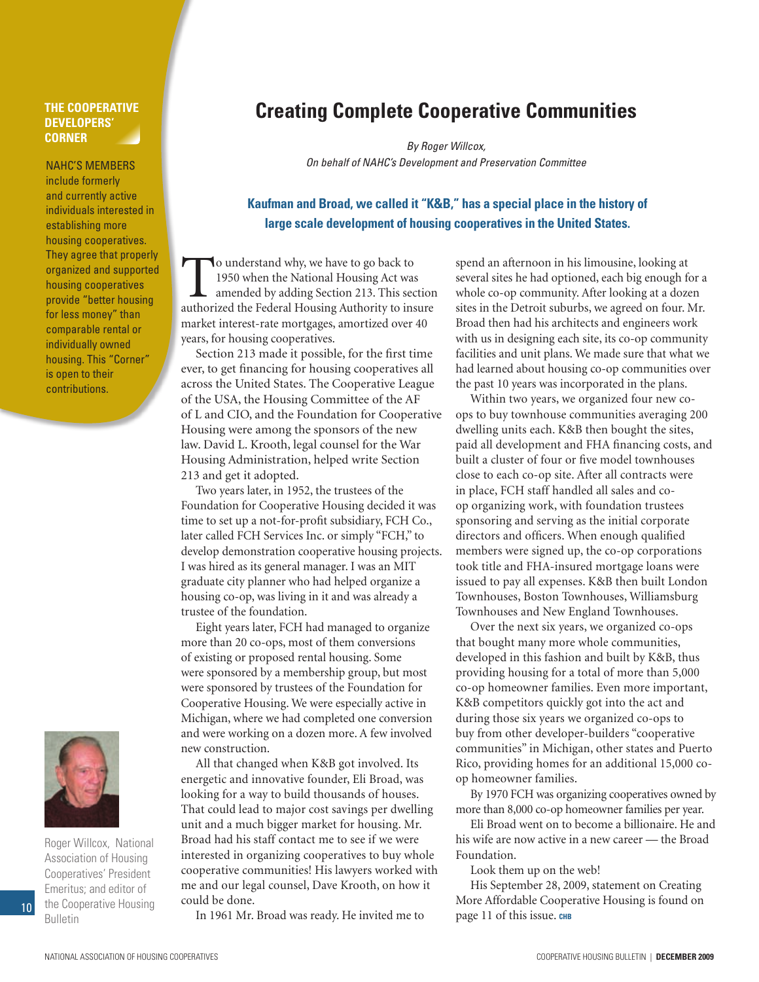#### <span id="page-9-0"></span>**THE COOPERATIVE DEVELOPERS' CORNER**

NAHC'S MEMBERS include formerly and currently active individuals interested in establishing more housing cooperatives. They agree that properly organized and supported housing cooperatives provide "better housing for less money" than comparable rental or individually owned housing. This "Corner" is open to their contributions.



Roger Willcox, National Association of Housing Cooperatives' President Emeritus; and editor of the Cooperative Housing **Bulletin** 

10

# **Creating Complete Cooperative Communities**

*By Roger Willcox, On behalf of NAHC's Development and Preservation Committee*

## **Kaufman and Broad, we called it "K&B," has a special place in the history of large scale development of housing cooperatives in the United States.**

To understand why, we have to go back to<br>1950 when the National Housing Act was<br>amended by adding Section 213. This sec<br>authorized the Federal Housing Authority to ins 1950 when the National Housing Act was amended by adding Section 213. This section authorized the Federal Housing Authority to insure market interest-rate mortgages, amortized over 40 years, for housing cooperatives.

Section 213 made it possible, for the first time ever, to get financing for housing cooperatives all across the United States. The Cooperative League of the USA, the Housing Committee of the AF of L and CIO, and the Foundation for Cooperative Housing were among the sponsors of the new law. David L. Krooth, legal counsel for the War Housing Administration, helped write Section 213 and get it adopted.

Two years later, in 1952, the trustees of the Foundation for Cooperative Housing decided it was time to set up a not-for-profit subsidiary, FCH Co., later called FCH Services Inc. or simply "FCH," to develop demonstration cooperative housing projects. I was hired as its general manager. I was an MIT graduate city planner who had helped organize a housing co-op, was living in it and was already a trustee of the foundation.

Eight years later, FCH had managed to organize more than 20 co-ops, most of them conversions of existing or proposed rental housing. Some were sponsored by a membership group, but most were sponsored by trustees of the Foundation for Cooperative Housing. We were especially active in Michigan, where we had completed one conversion and were working on a dozen more. A few involved new construction.

All that changed when K&B got involved. Its energetic and innovative founder, Eli Broad, was looking for a way to build thousands of houses. That could lead to major cost savings per dwelling unit and a much bigger market for housing. Mr. Broad had his staff contact me to see if we were interested in organizing cooperatives to buy whole cooperative communities! His lawyers worked with me and our legal counsel, Dave Krooth, on how it could be done.

In 1961 Mr. Broad was ready. He invited me to

spend an afternoon in his limousine, looking at several sites he had optioned, each big enough for a whole co-op community. After looking at a dozen sites in the Detroit suburbs, we agreed on four. Mr. Broad then had his architects and engineers work with us in designing each site, its co-op community facilities and unit plans. We made sure that what we had learned about housing co-op communities over the past 10 years was incorporated in the plans.

Within two years, we organized four new coops to buy townhouse communities averaging 200 dwelling units each. K&B then bought the sites, paid all development and FHA financing costs, and built a cluster of four or five model townhouses close to each co-op site. After all contracts were in place, FCH staff handled all sales and coop organizing work, with foundation trustees sponsoring and serving as the initial corporate directors and officers. When enough qualified members were signed up, the co-op corporations took title and FHA-insured mortgage loans were issued to pay all expenses. K&B then built London Townhouses, Boston Townhouses, Williamsburg Townhouses and New England Townhouses.

Over the next six years, we organized co-ops that bought many more whole communities, developed in this fashion and built by K&B, thus providing housing for a total of more than 5,000 co-op homeowner families. Even more important, K&B competitors quickly got into the act and during those six years we organized co-ops to buy from other developer-builders "cooperative communities" in Michigan, other states and Puerto Rico, providing homes for an additional 15,000 coop homeowner families.

By 1970 FCH was organizing cooperatives owned by more than 8,000 co-op homeowner families per year.

Eli Broad went on to become a billionaire. He and his wife are now active in a new career — the Broad Foundation.

Look them up on the web!

His September 28, 2009, statement on Creating More Affordable Cooperative Housing is found on page 11 of this issue. CHB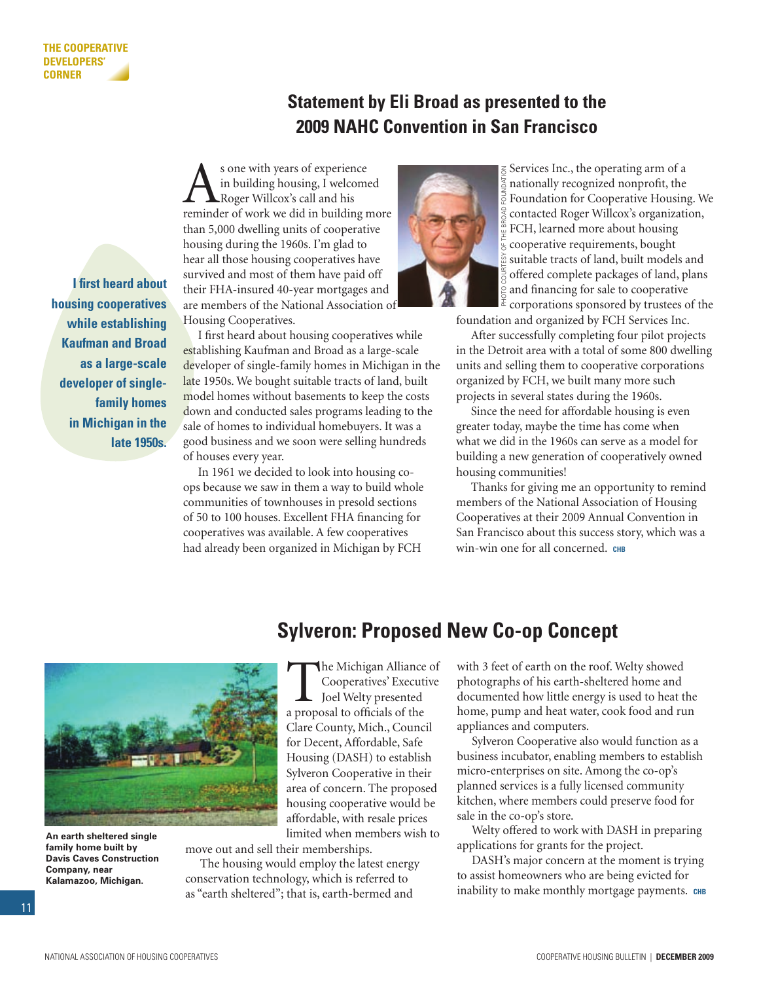**I first heard about housing cooperatives while establishing Kaufman and Broad as a large-scale developer of singlefamily homes in Michigan in the late 1950s.** 

# **Statement by Eli Broad as presented to the 2009 NAHC Convention in San Francisco**

<span id="page-10-0"></span>s one with years of experience<br>in building housing, I welcome<br>reminder of work we did in building r in building housing, I welcomed Roger Willcox's call and his reminder of work we did in building more than 5,000 dwelling units of cooperative housing during the 1960s. I'm glad to hear all those housing cooperatives have survived and most of them have paid off their FHA-insured 40-year mortgages and are members of the National Association of Housing Cooperatives.

I first heard about housing cooperatives while establishing Kaufman and Broad as a large-scale developer of single-family homes in Michigan in the late 1950s. We bought suitable tracts of land, built model homes without basements to keep the costs down and conducted sales programs leading to the sale of homes to individual homebuyers. It was a good business and we soon were selling hundreds of houses every year.

In 1961 we decided to look into housing coops because we saw in them a way to build whole communities of townhouses in presold sections of 50 to 100 houses. Excellent FHA financing for cooperatives was available. A few cooperatives had already been organized in Michigan by FCH



Services Inc., the operating arm of a nationally recognized nonprofit, the Foundation for Cooperative Housing. We contacted Roger Willcox's organization, FCH, learned more about housing cooperative requirements, bought suitable tracts of land, built models and offered complete packages of land, plans and financing for sale to cooperative corporations sponsored by trustees of the Photo courtesy of The Broad Foundation

foundation and organized by FCH Services Inc.

After successfully completing four pilot projects in the Detroit area with a total of some 800 dwelling units and selling them to cooperative corporations organized by FCH, we built many more such projects in several states during the 1960s.

Since the need for affordable housing is even greater today, maybe the time has come when what we did in the 1960s can serve as a model for building a new generation of cooperatively owned housing communities!

Thanks for giving me an opportunity to remind members of the National Association of Housing Cooperatives at their 2009 Annual Convention in San Francisco about this success story, which was a win-win one for all concerned. снв



**An earth sheltered single family home built by Davis Caves Construction Company, near Kalamazoo, Michigan.**

**Sylveron: Proposed New Co-op Concept**

The Michigan Alliance of<br>Cooperatives' Executive<br>Joel Welty presented<br>a proposal to officials of the Cooperatives' Executive Joel Welty presented a proposal to officials of the Clare County, Mich., Council for Decent, Affordable, Safe Housing (DASH) to establish Sylveron Cooperative in their area of concern. The proposed housing cooperative would be affordable, with resale prices limited when members wish to

move out and sell their memberships.

The housing would employ the latest energy conservation technology, which is referred to as "earth sheltered"; that is, earth-bermed and

with 3 feet of earth on the roof. Welty showed photographs of his earth-sheltered home and documented how little energy is used to heat the home, pump and heat water, cook food and run appliances and computers.

Sylveron Cooperative also would function as a business incubator, enabling members to establish micro-enterprises on site. Among the co-op's planned services is a fully licensed community kitchen, where members could preserve food for sale in the co-op's store.

Welty offered to work with DASH in preparing applications for grants for the project.

DASH's major concern at the moment is trying to assist homeowners who are being evicted for inability to make monthly mortgage payments. **CHB**